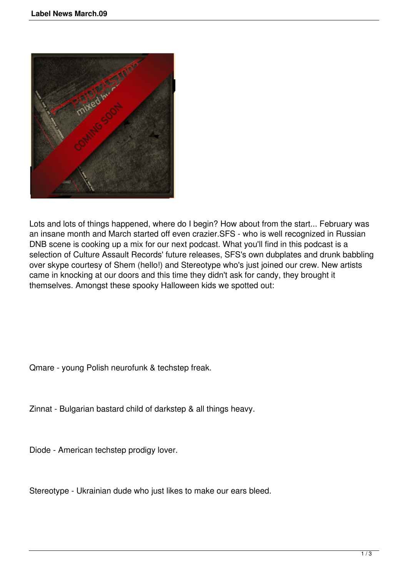

Lots and lots of things happened, where do I begin? How about from the start... February was an insane month and March started off even crazier.SFS - who is well recognized in Russian DNB scene is cooking up a mix for our next podcast. What you'll find in this podcast is a selection of Culture Assault Records' future releases, SFS's own dubplates and drunk babbling over skype courtesy of Shem (hello!) and Stereotype who's just joined our crew. New artists came in knocking at our doors and this time they didn't ask for candy, they brought it themselves. Amongst these spooky Halloween kids we spotted out:

Qmare - young Polish neurofunk & techstep freak.

Zinnat - Bulgarian bastard child of darkstep & all things heavy.

Diode - American techstep prodigy lover.

Stereotype - Ukrainian dude who just likes to make our ears bleed.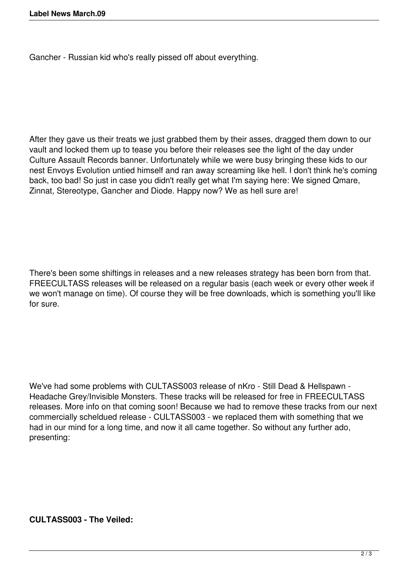Gancher - Russian kid who's really pissed off about everything.

After they gave us their treats we just grabbed them by their asses, dragged them down to our vault and locked them up to tease you before their releases see the light of the day under Culture Assault Records banner. Unfortunately while we were busy bringing these kids to our nest Envoys Evolution untied himself and ran away screaming like hell. I don't think he's coming back, too bad! So just in case you didn't really get what I'm saying here: We signed Qmare, Zinnat, Stereotype, Gancher and Diode. Happy now? We as hell sure are!

There's been some shiftings in releases and a new releases strategy has been born from that. FREECULTASS releases will be released on a regular basis (each week or every other week if we won't manage on time). Of course they will be free downloads, which is something you'll like for sure.

We've had some problems with CULTASS003 release of nKro - Still Dead & Hellspawn - Headache Grey/Invisible Monsters. These tracks will be released for free in FREECULTASS releases. More info on that coming soon! Because we had to remove these tracks from our next commercially scheldued release - CULTASS003 - we replaced them with something that we had in our mind for a long time, and now it all came together. So without any further ado, presenting:

**CULTASS003 - The Veiled:**